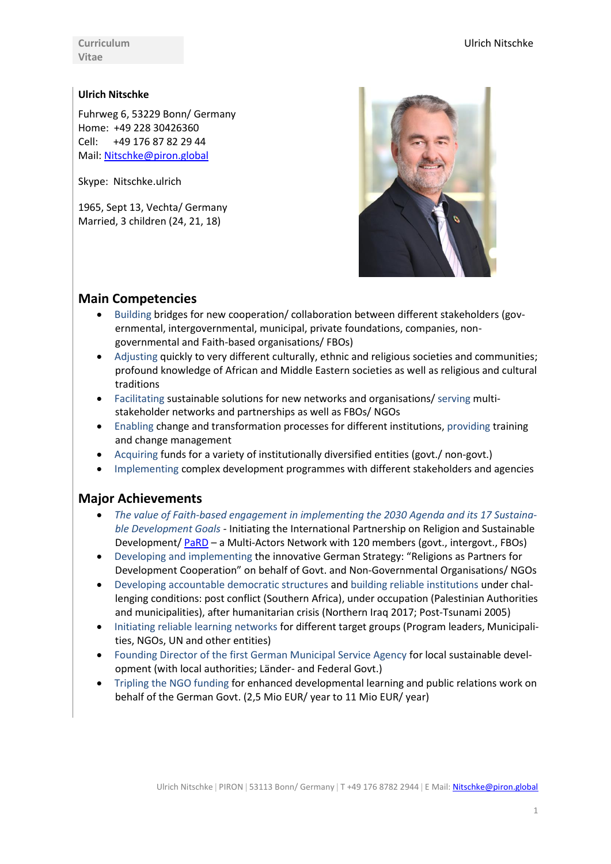**Curriculum Vitae**

### **Ulrich Nitschke**

Fuhrweg 6, 53229 Bonn/ Germany Home: +49 228 30426360 Cell: +49 176 87 82 29 44 Mail: [Nitschke@piron.global](mailto:Nitschke@piron.global)

Skype: Nitschke.ulrich

1965, Sept 13, Vechta/ Germany Married, 3 children (24, 21, 18)



### **Main Competencies**

- Building bridges for new cooperation/ collaboration between different stakeholders (governmental, intergovernmental, municipal, private foundations, companies, nongovernmental and Faith-based organisations/ FBOs)
- Adjusting quickly to very different culturally, ethnic and religious societies and communities; profound knowledge of African and Middle Eastern societies as well as religious and cultural traditions
- Facilitating sustainable solutions for new networks and organisations/ serving multistakeholder networks and partnerships as well as FBOs/ NGOs
- Enabling change and transformation processes for different institutions, providing training and change management
- Acquiring funds for a variety of institutionally diversified entities (govt./ non-govt.)
- Implementing complex development programmes with different stakeholders and agencies

## **Major Achievements**

- *The value of Faith-based engagement in implementing the 2030 Agenda and its 17 Sustainable Development Goals -* Initiating the International Partnership on Religion and Sustainable Development[/ PaRD](http://www.pard.international/) – a Multi-Actors Network with 120 members (govt., intergovt., FBOs)
- Developing and implementing the innovative German Strategy: "Religions as Partners for Development Cooperation" on behalf of Govt. and Non-Governmental Organisations/ NGOs
- Developing accountable democratic structures and building reliable institutions under challenging conditions: post conflict (Southern Africa), under occupation (Palestinian Authorities and municipalities), after humanitarian crisis (Northern Iraq 2017; Post-Tsunami 2005)
- Initiating reliable learning networks for different target groups (Program leaders, Municipalities, NGOs, UN and other entities)
- Founding Director of the first German Municipal Service Agency for local sustainable development (with local authorities; Länder- and Federal Govt.)
- Tripling the NGO funding for enhanced developmental learning and public relations work on behalf of the German Govt. (2,5 Mio EUR/ year to 11 Mio EUR/ year)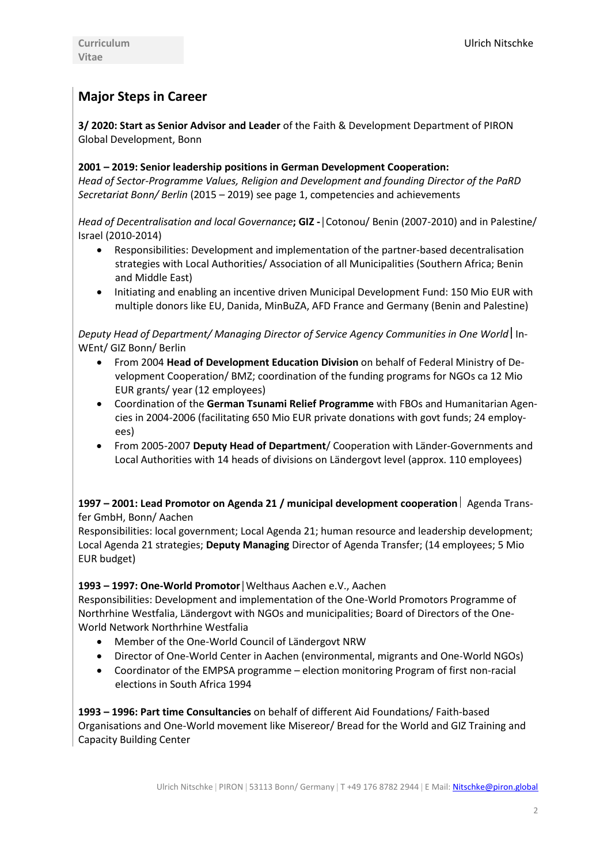# **Major Steps in Career**

**3/ 2020: Start as Senior Advisor and Leader** of the Faith & Development Department of PIRON Global Development, Bonn

### **2001 – 2019: Senior leadership positions in German Development Cooperation:**

*Head of Sector-Programme Values, Religion and Development and founding Director of the PaRD Secretariat Bonn/ Berlin* (2015 – 2019) see page 1, competencies and achievements

*Head of Decentralisation and local Governance***; GIZ -│**Cotonou/ Benin (2007-2010) and in Palestine/ Israel (2010-2014)

- Responsibilities: Development and implementation of the partner-based decentralisation strategies with Local Authorities/ Association of all Municipalities (Southern Africa; Benin and Middle East)
- Initiating and enabling an incentive driven Municipal Development Fund: 150 Mio EUR with multiple donors like EU, Danida, MinBuZA, AFD France and Germany (Benin and Palestine)

*Deputy Head of Department/ Managing Director of Service Agency Communities in One World* In-WEnt/ GIZ Bonn/ Berlin

- From 2004 **Head of Development Education Division** on behalf of Federal Ministry of Development Cooperation/ BMZ; coordination of the funding programs for NGOs ca 12 Mio EUR grants/ year (12 employees)
- Coordination of the **German Tsunami Relief Programme** with FBOs and Humanitarian Agencies in 2004-2006 (facilitating 650 Mio EUR private donations with govt funds; 24 employees)
- From 2005-2007 **Deputy Head of Department**/ Cooperation with Länder-Governments and Local Authorities with 14 heads of divisions on Ländergovt level (approx. 110 employees)

**1997 – 2001: Lead Promotor on Agenda 21 / municipal development cooperation**  Agenda Transfer GmbH, Bonn/ Aachen

Responsibilities: local government; Local Agenda 21; human resource and leadership development; Local Agenda 21 strategies; **Deputy Managing** Director of Agenda Transfer; (14 employees; 5 Mio EUR budget)

### **1993 – 1997: One-World Promotor│**Welthaus Aachen e.V., Aachen

Responsibilities: Development and implementation of the One-World Promotors Programme of Northrhine Westfalia, Ländergovt with NGOs and municipalities; Board of Directors of the One-World Network Northrhine Westfalia

- Member of the One-World Council of Ländergovt NRW
- Director of One-World Center in Aachen (environmental, migrants and One-World NGOs)
- Coordinator of the EMPSA programme election monitoring Program of first non-racial elections in South Africa 1994

**1993 – 1996: Part time Consultancies** on behalf of different Aid Foundations/ Faith-based Organisations and One-World movement like Misereor/ Bread for the World and GIZ Training and Capacity Building Center